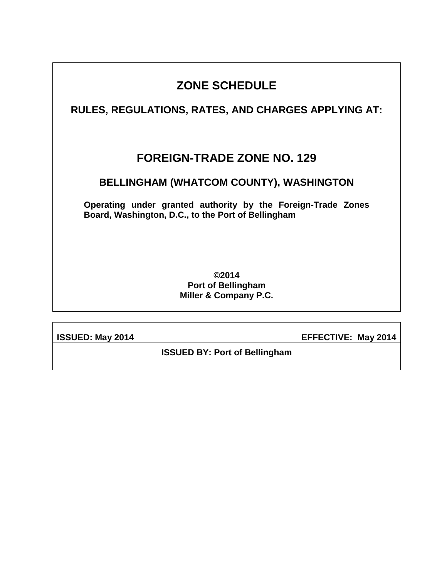# **ZONE SCHEDULE**

**RULES, REGULATIONS, RATES, AND CHARGES APPLYING AT:**

# **FOREIGN-TRADE ZONE NO. 129**

## **BELLINGHAM (WHATCOM COUNTY), WASHINGTON**

**Operating under granted authority by the Foreign-Trade Zones Board, Washington, D.C., to the Port of Bellingham**

> **©2014 Port of Bellingham Miller & Company P.C.**

**ISSUED: May 2014 EFFECTIVE: May 2014**

**ISSUED BY: Port of Bellingham**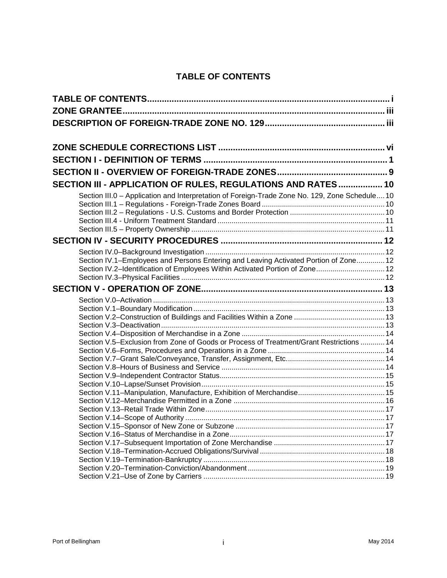## **TABLE OF CONTENTS**

<span id="page-1-0"></span>

| SECTION III - APPLICATION OF RULES, REGULATIONS AND RATES  10                                  |  |
|------------------------------------------------------------------------------------------------|--|
| Section III.0 - Application and Interpretation of Foreign-Trade Zone No. 129, Zone Schedule 10 |  |
|                                                                                                |  |
|                                                                                                |  |
|                                                                                                |  |
|                                                                                                |  |
|                                                                                                |  |
| Section IV.1-Employees and Persons Entering and Leaving Activated Portion of Zone 12           |  |
| Section IV.2-Identification of Employees Within Activated Portion of Zone 12                   |  |
|                                                                                                |  |
|                                                                                                |  |
|                                                                                                |  |
|                                                                                                |  |
|                                                                                                |  |
|                                                                                                |  |
| Section V.5-Exclusion from Zone of Goods or Process of Treatment/Grant Restrictions  14        |  |
|                                                                                                |  |
|                                                                                                |  |
|                                                                                                |  |
|                                                                                                |  |
|                                                                                                |  |
|                                                                                                |  |
|                                                                                                |  |
|                                                                                                |  |
|                                                                                                |  |
|                                                                                                |  |
|                                                                                                |  |
|                                                                                                |  |
|                                                                                                |  |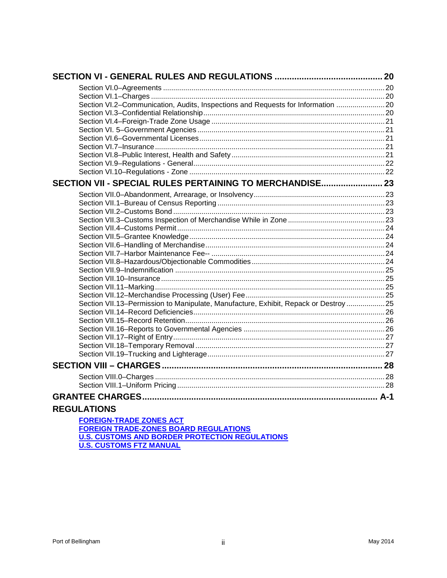| Section VI.2-Communication, Audits, Inspections and Requests for Information  20   |  |
|------------------------------------------------------------------------------------|--|
|                                                                                    |  |
|                                                                                    |  |
|                                                                                    |  |
|                                                                                    |  |
|                                                                                    |  |
|                                                                                    |  |
|                                                                                    |  |
|                                                                                    |  |
| SECTION VII - SPECIAL RULES PERTAINING TO MERCHANDISE 23                           |  |
|                                                                                    |  |
|                                                                                    |  |
|                                                                                    |  |
|                                                                                    |  |
|                                                                                    |  |
|                                                                                    |  |
|                                                                                    |  |
|                                                                                    |  |
|                                                                                    |  |
|                                                                                    |  |
|                                                                                    |  |
|                                                                                    |  |
|                                                                                    |  |
| Section VII.13-Permission to Manipulate, Manufacture, Exhibit, Repack or Destroy25 |  |
|                                                                                    |  |
|                                                                                    |  |
|                                                                                    |  |
|                                                                                    |  |
|                                                                                    |  |
|                                                                                    |  |
|                                                                                    |  |
|                                                                                    |  |
|                                                                                    |  |
|                                                                                    |  |
| <b>REGULATIONS</b>                                                                 |  |

**FOREIGN-TRADE ZONES ACT FOREIGN TRADE-ZONES BOARD REGULATIONS U.S. CUSTOMS AND BORDER PROTECTION REGULATIONS U.S. CUSTOMS FTZ MANUAL**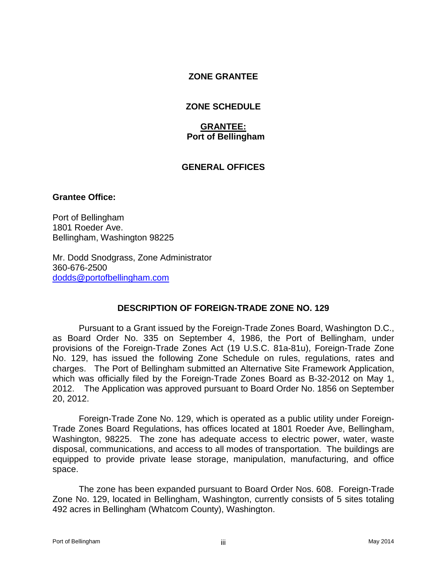## **ZONE GRANTEE**

## **ZONE SCHEDULE**

#### **GRANTEE: Port of Bellingham**

## **GENERAL OFFICES**

#### <span id="page-3-0"></span>**Grantee Office:**

Port of Bellingham 1801 Roeder Ave. Bellingham, Washington 98225

Mr. Dodd Snodgrass, Zone Administrator 360-676-2500 [dodds@portofbellingham.com](mailto:dodds@portofbellingham.com)

## **DESCRIPTION OF FOREIGN-TRADE ZONE NO. 129**

<span id="page-3-1"></span>Pursuant to a Grant issued by the Foreign-Trade Zones Board, Washington D.C., as Board Order No. 335 on September 4, 1986, the Port of Bellingham, under provisions of the Foreign-Trade Zones Act (19 U.S.C. 81a-81u), Foreign-Trade Zone No. 129, has issued the following Zone Schedule on rules, regulations, rates and charges. The Port of Bellingham submitted an Alternative Site Framework Application, which was officially filed by the Foreign-Trade Zones Board as B-32-2012 on May 1, 2012. The Application was approved pursuant to Board Order No. 1856 on September 20, 2012.

Foreign-Trade Zone No. 129, which is operated as a public utility under Foreign-Trade Zones Board Regulations, has offices located at 1801 Roeder Ave, Bellingham, Washington, 98225. The zone has adequate access to electric power, water, waste disposal, communications, and access to all modes of transportation. The buildings are equipped to provide private lease storage, manipulation, manufacturing, and office space.

The zone has been expanded pursuant to Board Order Nos. 608. Foreign-Trade Zone No. 129, located in Bellingham, Washington, currently consists of 5 sites totaling 492 acres in Bellingham (Whatcom County), Washington.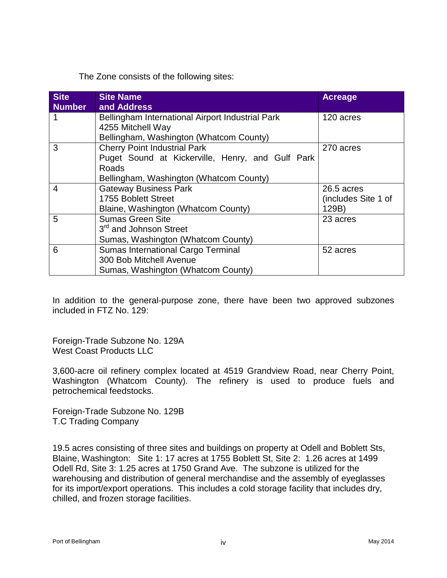The Zone consists of the following sites:

| <b>Site</b><br><b>Number</b> | <b>Site Name</b><br>and Address                                                                                                             | <b>Acreage</b>                             |
|------------------------------|---------------------------------------------------------------------------------------------------------------------------------------------|--------------------------------------------|
|                              | Bellingham International Airport Industrial Park<br>4255 Mitchell Way<br>Bellingham, Washington (Whatcom County)                            | 120 acres                                  |
| 3                            | <b>Cherry Point Industrial Park</b><br>Puget Sound at Kickerville, Henry, and Gulf Park<br>Roads<br>Bellingham, Washington (Whatcom County) | 270 acres                                  |
| 4                            | <b>Gateway Business Park</b><br>1755 Boblett Street<br>Blaine, Washington (Whatcom County)                                                  | 26.5 acres<br>(includes Site 1 of<br>129B) |
| 5                            | <b>Sumas Green Site</b><br>3 <sup>rd</sup> and Johnson Street<br>Sumas, Washington (Whatcom County)                                         | 23 acres                                   |
| 6                            | <b>Sumas International Cargo Terminal</b><br>300 Bob Mitchell Avenue<br>Sumas, Washington (Whatcom County)                                  | 52 acres                                   |

In addition to the general-purpose zone, there have been two approved subzones included in FTZ No. 129:

Foreign-Trade Subzone No. 129A West Coast Products LLC

3,600-acre oil refinery complex located at 4519 Grandview Road, near Cherry Point, Washington (Whatcom County). The refinery is used to produce fuels and petrochemical feedstocks.

Foreign-Trade Subzone No. 129B T.C Trading Company

19.5 acres consisting of three sites and buildings on property at Odell and Boblett Sts, Blaine, Washington: Site 1: 17 acres at 1755 Boblett St, Site 2: 1.26 acres at 1499 Odell Rd, Site 3: 1.25 acres at 1750 Grand Ave. The subzone is utilized for the warehousing and distribution of general merchandise and the assembly of eyeglasses for its import/export operations. This includes a cold storage facility that includes dry, chilled, and frozen storage facilities.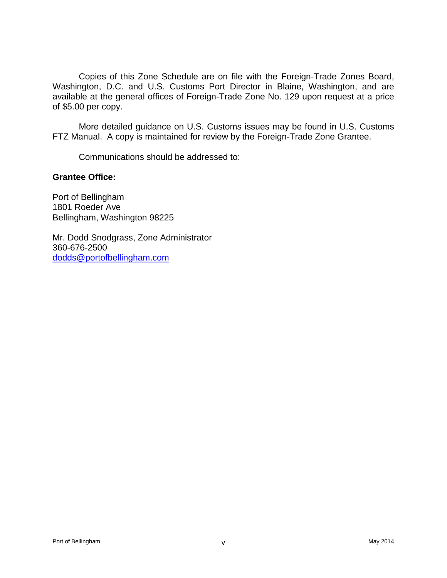Copies of this Zone Schedule are on file with the Foreign-Trade Zones Board, Washington, D.C. and U.S. Customs Port Director in Blaine, Washington, and are available at the general offices of Foreign-Trade Zone No. 129 upon request at a price of \$5.00 per copy.

More detailed guidance on U.S. Customs issues may be found in U.S. Customs FTZ Manual. A copy is maintained for review by the Foreign-Trade Zone Grantee.

Communications should be addressed to:

## **Grantee Office:**

Port of Bellingham 1801 Roeder Ave Bellingham, Washington 98225

Mr. Dodd Snodgrass, Zone Administrator 360-676-2500 [dodds@portofbellingham.com](mailto:dodds@portofbellingham.com)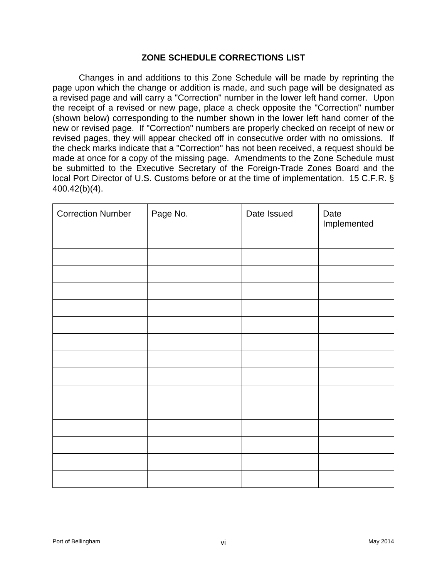## **ZONE SCHEDULE CORRECTIONS LIST**

<span id="page-6-0"></span>Changes in and additions to this Zone Schedule will be made by reprinting the page upon which the change or addition is made, and such page will be designated as a revised page and will carry a "Correction" number in the lower left hand corner. Upon the receipt of a revised or new page, place a check opposite the "Correction" number (shown below) corresponding to the number shown in the lower left hand corner of the new or revised page. If "Correction" numbers are properly checked on receipt of new or revised pages, they will appear checked off in consecutive order with no omissions. If the check marks indicate that a "Correction" has not been received, a request should be made at once for a copy of the missing page. Amendments to the Zone Schedule must be submitted to the Executive Secretary of the Foreign-Trade Zones Board and the local Port Director of U.S. Customs before or at the time of implementation. 15 C.F.R. § 400.42(b)(4).

| <b>Correction Number</b> | Page No. | Date Issued | Date<br>Implemented |
|--------------------------|----------|-------------|---------------------|
|                          |          |             |                     |
|                          |          |             |                     |
|                          |          |             |                     |
|                          |          |             |                     |
|                          |          |             |                     |
|                          |          |             |                     |
|                          |          |             |                     |
|                          |          |             |                     |
|                          |          |             |                     |
|                          |          |             |                     |
|                          |          |             |                     |
|                          |          |             |                     |
|                          |          |             |                     |
|                          |          |             |                     |
|                          |          |             |                     |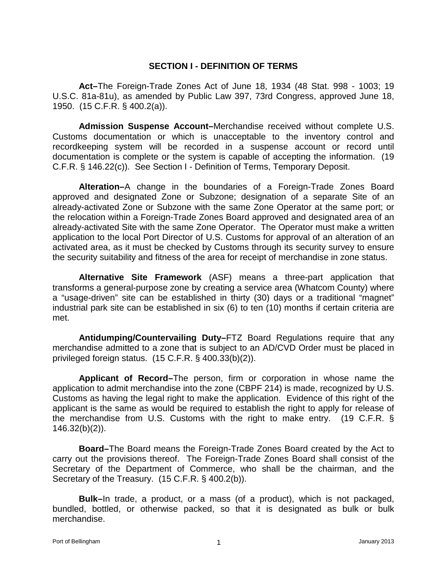<span id="page-7-0"></span>**Act–**The Foreign-Trade Zones Act of June 18, 1934 (48 Stat. 998 - 1003; 19 U.S.C. 81a-81u), as amended by Public Law 397, 73rd Congress, approved June 18, 1950. (15 C.F.R. § 400.2(a)).

**Admission Suspense Account–**Merchandise received without complete U.S. Customs documentation or which is unacceptable to the inventory control and recordkeeping system will be recorded in a suspense account or record until documentation is complete or the system is capable of accepting the information. (19 C.F.R. § 146.22(c)). See Section I - Definition of Terms, Temporary Deposit.

**Alteration–**A change in the boundaries of a Foreign-Trade Zones Board approved and designated Zone or Subzone; designation of a separate Site of an already-activated Zone or Subzone with the same Zone Operator at the same port; or the relocation within a Foreign-Trade Zones Board approved and designated area of an already-activated Site with the same Zone Operator. The Operator must make a written application to the local Port Director of U.S. Customs for approval of an alteration of an activated area, as it must be checked by Customs through its security survey to ensure the security suitability and fitness of the area for receipt of merchandise in zone status.

**Alternative Site Framework** (ASF) means a three-part application that transforms a general-purpose zone by creating a service area (Whatcom County) where a "usage-driven" site can be established in thirty (30) days or a traditional "magnet" industrial park site can be established in six (6) to ten (10) months if certain criteria are met.

**Antidumping/Countervailing Duty–**FTZ Board Regulations require that any merchandise admitted to a zone that is subject to an AD/CVD Order must be placed in privileged foreign status. (15 C.F.R. § 400.33(b)(2)).

**Applicant of Record–**The person, firm or corporation in whose name the application to admit merchandise into the zone (CBPF 214) is made, recognized by U.S. Customs as having the legal right to make the application. Evidence of this right of the applicant is the same as would be required to establish the right to apply for release of the merchandise from U.S. Customs with the right to make entry. (19 C.F.R. § 146.32(b)(2)).

**Board–**The Board means the Foreign-Trade Zones Board created by the Act to carry out the provisions thereof. The Foreign-Trade Zones Board shall consist of the Secretary of the Department of Commerce, who shall be the chairman, and the Secretary of the Treasury. (15 C.F.R. § 400.2(b)).

**Bulk–**In trade, a product, or a mass (of a product), which is not packaged, bundled, bottled, or otherwise packed, so that it is designated as bulk or bulk merchandise.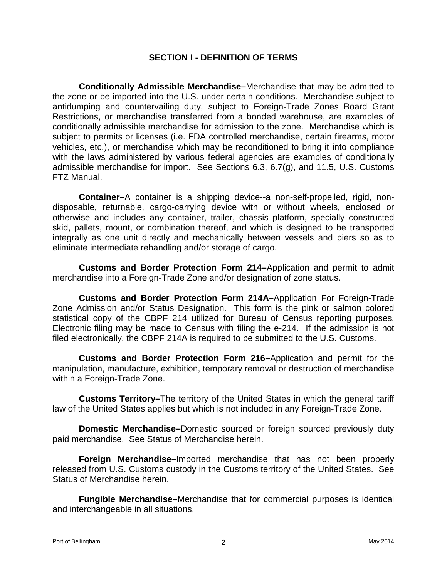**Conditionally Admissible Merchandise–**Merchandise that may be admitted to the zone or be imported into the U.S. under certain conditions. Merchandise subject to antidumping and countervailing duty, subject to Foreign-Trade Zones Board Grant Restrictions, or merchandise transferred from a bonded warehouse, are examples of conditionally admissible merchandise for admission to the zone. Merchandise which is subject to permits or licenses (i.e. FDA controlled merchandise, certain firearms, motor vehicles, etc.), or merchandise which may be reconditioned to bring it into compliance with the laws administered by various federal agencies are examples of conditionally admissible merchandise for import. See Sections 6.3, 6.7(g), and 11.5, U.S. Customs FTZ Manual.

**Container–**A container is a shipping device--a non-self-propelled, rigid, nondisposable, returnable, cargo-carrying device with or without wheels, enclosed or otherwise and includes any container, trailer, chassis platform, specially constructed skid, pallets, mount, or combination thereof, and which is designed to be transported integrally as one unit directly and mechanically between vessels and piers so as to eliminate intermediate rehandling and/or storage of cargo.

**Customs and Border Protection Form 214–**Application and permit to admit merchandise into a Foreign-Trade Zone and/or designation of zone status.

**Customs and Border Protection Form 214A–**Application For Foreign-Trade Zone Admission and/or Status Designation. This form is the pink or salmon colored statistical copy of the CBPF 214 utilized for Bureau of Census reporting purposes. Electronic filing may be made to Census with filing the e-214. If the admission is not filed electronically, the CBPF 214A is required to be submitted to the U.S. Customs.

**Customs and Border Protection Form 216–**Application and permit for the manipulation, manufacture, exhibition, temporary removal or destruction of merchandise within a Foreign-Trade Zone.

**Customs Territory–**The territory of the United States in which the general tariff law of the United States applies but which is not included in any Foreign-Trade Zone.

**Domestic Merchandise–**Domestic sourced or foreign sourced previously duty paid merchandise. See Status of Merchandise herein.

**Foreign Merchandise–**Imported merchandise that has not been properly released from U.S. Customs custody in the Customs territory of the United States. See Status of Merchandise herein.

**Fungible Merchandise–**Merchandise that for commercial purposes is identical and interchangeable in all situations.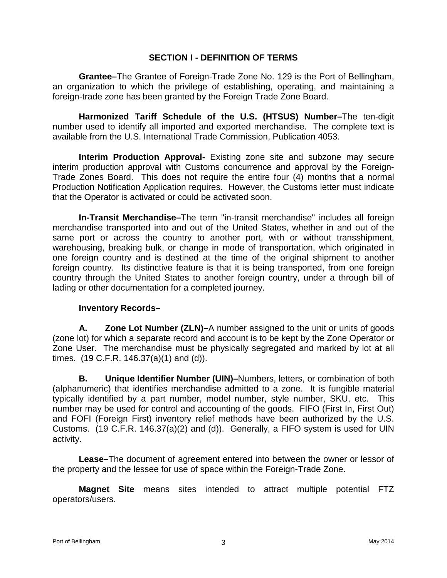**Grantee–**The Grantee of Foreign-Trade Zone No. 129 is the Port of Bellingham, an organization to which the privilege of establishing, operating, and maintaining a foreign-trade zone has been granted by the Foreign Trade Zone Board.

**Harmonized Tariff Schedule of the U.S. (HTSUS) Number–**The ten-digit number used to identify all imported and exported merchandise. The complete text is available from the U.S. International Trade Commission, Publication 4053.

**Interim Production Approval-** Existing zone site and subzone may secure interim production approval with Customs concurrence and approval by the Foreign-Trade Zones Board. This does not require the entire four (4) months that a normal Production Notification Application requires. However, the Customs letter must indicate that the Operator is activated or could be activated soon.

**In-Transit Merchandise–**The term "in-transit merchandise" includes all foreign merchandise transported into and out of the United States, whether in and out of the same port or across the country to another port, with or without transshipment, warehousing, breaking bulk, or change in mode of transportation, which originated in one foreign country and is destined at the time of the original shipment to another foreign country. Its distinctive feature is that it is being transported, from one foreign country through the United States to another foreign country, under a through bill of lading or other documentation for a completed journey.

## **Inventory Records–**

**A. Zone Lot Number (ZLN)–**A number assigned to the unit or units of goods (zone lot) for which a separate record and account is to be kept by the Zone Operator or Zone User. The merchandise must be physically segregated and marked by lot at all times. (19 C.F.R. 146.37(a)(1) and (d)).

**B. Unique Identifier Number (UIN)–**Numbers, letters, or combination of both (alphanumeric) that identifies merchandise admitted to a zone. It is fungible material typically identified by a part number, model number, style number, SKU, etc. This number may be used for control and accounting of the goods. FIFO (First In, First Out) and FOFI (Foreign First) inventory relief methods have been authorized by the U.S. Customs. (19 C.F.R. 146.37(a)(2) and (d)). Generally, a FIFO system is used for UIN activity.

**Lease–**The document of agreement entered into between the owner or lessor of the property and the lessee for use of space within the Foreign-Trade Zone.

**Magnet Site** means sites intended to attract multiple potential FTZ operators/users.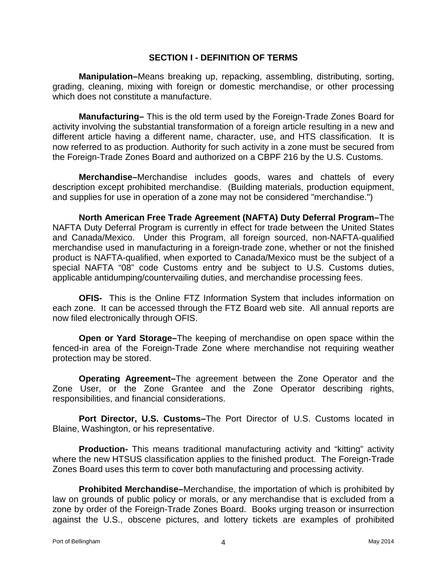**Manipulation–**Means breaking up, repacking, assembling, distributing, sorting, grading, cleaning, mixing with foreign or domestic merchandise, or other processing which does not constitute a manufacture.

**Manufacturing–** This is the old term used by the Foreign-Trade Zones Board for activity involving the substantial transformation of a foreign article resulting in a new and different article having a different name, character, use, and HTS classification. It is now referred to as production. Authority for such activity in a zone must be secured from the Foreign-Trade Zones Board and authorized on a CBPF 216 by the U.S. Customs.

**Merchandise–**Merchandise includes goods, wares and chattels of every description except prohibited merchandise. (Building materials, production equipment, and supplies for use in operation of a zone may not be considered "merchandise.")

**North American Free Trade Agreement (NAFTA) Duty Deferral Program–**The NAFTA Duty Deferral Program is currently in effect for trade between the United States and Canada/Mexico. Under this Program, all foreign sourced, non-NAFTA-qualified merchandise used in manufacturing in a foreign-trade zone, whether or not the finished product is NAFTA-qualified, when exported to Canada/Mexico must be the subject of a special NAFTA "08" code Customs entry and be subject to U.S. Customs duties, applicable antidumping/countervailing duties, and merchandise processing fees.

**OFIS-** This is the Online FTZ Information System that includes information on each zone. It can be accessed through the FTZ Board web site. All annual reports are now filed electronically through OFIS.

**Open or Yard Storage–**The keeping of merchandise on open space within the fenced-in area of the Foreign-Trade Zone where merchandise not requiring weather protection may be stored.

**Operating Agreement–**The agreement between the Zone Operator and the Zone User, or the Zone Grantee and the Zone Operator describing rights, responsibilities, and financial considerations.

**Port Director, U.S. Customs–**The Port Director of U.S. Customs located in Blaine, Washington, or his representative.

**Production-** This means traditional manufacturing activity and "kitting" activity where the new HTSUS classification applies to the finished product. The Foreign-Trade Zones Board uses this term to cover both manufacturing and processing activity.

**Prohibited Merchandise–**Merchandise, the importation of which is prohibited by law on grounds of public policy or morals, or any merchandise that is excluded from a zone by order of the Foreign-Trade Zones Board. Books urging treason or insurrection against the U.S., obscene pictures, and lottery tickets are examples of prohibited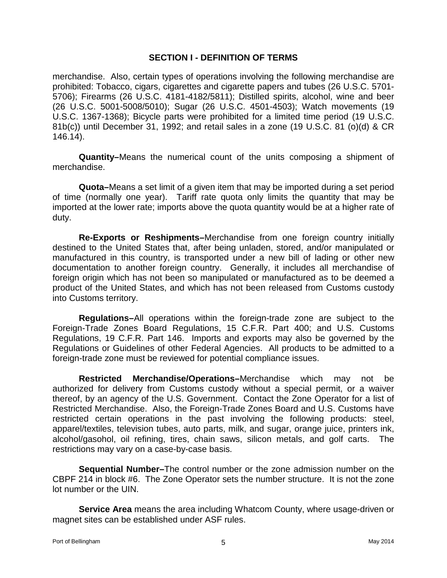merchandise. Also, certain types of operations involving the following merchandise are prohibited: Tobacco, cigars, cigarettes and cigarette papers and tubes (26 U.S.C. 5701- 5706); Firearms (26 U.S.C. 4181-4182/5811); Distilled spirits, alcohol, wine and beer (26 U.S.C. 5001-5008/5010); Sugar (26 U.S.C. 4501-4503); Watch movements (19 U.S.C. 1367-1368); Bicycle parts were prohibited for a limited time period (19 U.S.C. 81b(c)) until December 31, 1992; and retail sales in a zone (19 U.S.C. 81 (o)(d) & CR 146.14).

**Quantity–**Means the numerical count of the units composing a shipment of merchandise.

**Quota–**Means a set limit of a given item that may be imported during a set period of time (normally one year). Tariff rate quota only limits the quantity that may be imported at the lower rate; imports above the quota quantity would be at a higher rate of duty.

**Re-Exports or Reshipments–**Merchandise from one foreign country initially destined to the United States that, after being unladen, stored, and/or manipulated or manufactured in this country, is transported under a new bill of lading or other new documentation to another foreign country. Generally, it includes all merchandise of foreign origin which has not been so manipulated or manufactured as to be deemed a product of the United States, and which has not been released from Customs custody into Customs territory.

**Regulations–**All operations within the foreign-trade zone are subject to the Foreign-Trade Zones Board Regulations, 15 C.F.R. Part 400; and U.S. Customs Regulations, 19 C.F.R. Part 146. Imports and exports may also be governed by the Regulations or Guidelines of other Federal Agencies. All products to be admitted to a foreign-trade zone must be reviewed for potential compliance issues.

**Restricted Merchandise/Operations–**Merchandise which may not be authorized for delivery from Customs custody without a special permit, or a waiver thereof, by an agency of the U.S. Government. Contact the Zone Operator for a list of Restricted Merchandise. Also, the Foreign-Trade Zones Board and U.S. Customs have restricted certain operations in the past involving the following products: steel, apparel/textiles, television tubes, auto parts, milk, and sugar, orange juice, printers ink, alcohol/gasohol, oil refining, tires, chain saws, silicon metals, and golf carts. The restrictions may vary on a case-by-case basis.

**Sequential Number–**The control number or the zone admission number on the CBPF 214 in block #6. The Zone Operator sets the number structure. It is not the zone lot number or the UIN.

**Service Area** means the area including Whatcom County, where usage-driven or magnet sites can be established under ASF rules.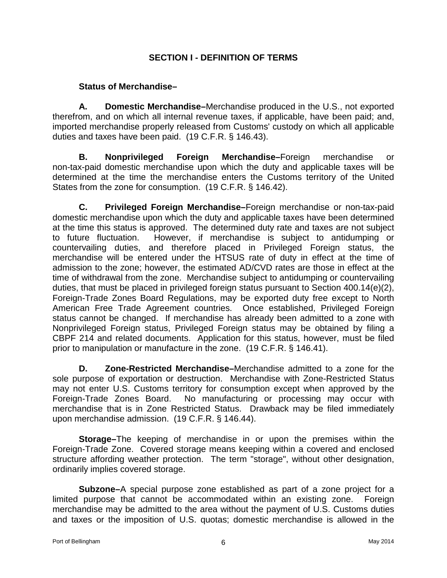## **Status of Merchandise–**

**A. Domestic Merchandise–**Merchandise produced in the U.S., not exported therefrom, and on which all internal revenue taxes, if applicable, have been paid; and, imported merchandise properly released from Customs' custody on which all applicable duties and taxes have been paid. (19 C.F.R. § 146.43).

**B. Nonprivileged Foreign Merchandise–**Foreign merchandise or non-tax-paid domestic merchandise upon which the duty and applicable taxes will be determined at the time the merchandise enters the Customs territory of the United States from the zone for consumption. (19 C.F.R. § 146.42).

**C. Privileged Foreign Merchandise–**Foreign merchandise or non-tax-paid domestic merchandise upon which the duty and applicable taxes have been determined at the time this status is approved. The determined duty rate and taxes are not subject to future fluctuation. However, if merchandise is subject to antidumping or countervailing duties, and therefore placed in Privileged Foreign status, the merchandise will be entered under the HTSUS rate of duty in effect at the time of admission to the zone; however, the estimated AD/CVD rates are those in effect at the time of withdrawal from the zone. Merchandise subject to antidumping or countervailing duties, that must be placed in privileged foreign status pursuant to Section 400.14(e)(2), Foreign-Trade Zones Board Regulations, may be exported duty free except to North American Free Trade Agreement countries. Once established, Privileged Foreign status cannot be changed. If merchandise has already been admitted to a zone with Nonprivileged Foreign status, Privileged Foreign status may be obtained by filing a CBPF 214 and related documents. Application for this status, however, must be filed prior to manipulation or manufacture in the zone. (19 C.F.R. § 146.41).

**D. Zone-Restricted Merchandise–**Merchandise admitted to a zone for the sole purpose of exportation or destruction. Merchandise with Zone-Restricted Status may not enter U.S. Customs territory for consumption except when approved by the Foreign-Trade Zones Board. No manufacturing or processing may occur with merchandise that is in Zone Restricted Status. Drawback may be filed immediately upon merchandise admission. (19 C.F.R. § 146.44).

**Storage–**The keeping of merchandise in or upon the premises within the Foreign-Trade Zone. Covered storage means keeping within a covered and enclosed structure affording weather protection. The term "storage", without other designation, ordinarily implies covered storage.

**Subzone–**A special purpose zone established as part of a zone project for a limited purpose that cannot be accommodated within an existing zone. Foreign merchandise may be admitted to the area without the payment of U.S. Customs duties and taxes or the imposition of U.S. quotas; domestic merchandise is allowed in the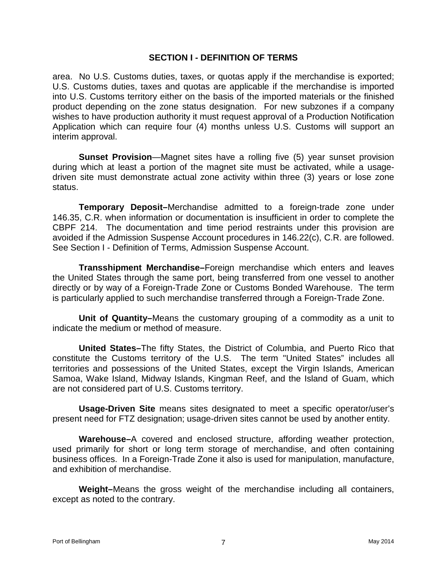area. No U.S. Customs duties, taxes, or quotas apply if the merchandise is exported; U.S. Customs duties, taxes and quotas are applicable if the merchandise is imported into U.S. Customs territory either on the basis of the imported materials or the finished product depending on the zone status designation. For new subzones if a company wishes to have production authority it must request approval of a Production Notification Application which can require four (4) months unless U.S. Customs will support an interim approval.

**Sunset Provision**—Magnet sites have a rolling five (5) year sunset provision during which at least a portion of the magnet site must be activated, while a usagedriven site must demonstrate actual zone activity within three (3) years or lose zone status.

**Temporary Deposit–**Merchandise admitted to a foreign-trade zone under 146.35, C.R. when information or documentation is insufficient in order to complete the CBPF 214. The documentation and time period restraints under this provision are avoided if the Admission Suspense Account procedures in 146.22(c), C.R. are followed. See Section I - Definition of Terms, Admission Suspense Account.

**Transshipment Merchandise–**Foreign merchandise which enters and leaves the United States through the same port, being transferred from one vessel to another directly or by way of a Foreign-Trade Zone or Customs Bonded Warehouse. The term is particularly applied to such merchandise transferred through a Foreign-Trade Zone.

**Unit of Quantity–**Means the customary grouping of a commodity as a unit to indicate the medium or method of measure.

**United States–**The fifty States, the District of Columbia, and Puerto Rico that constitute the Customs territory of the U.S. The term "United States" includes all territories and possessions of the United States, except the Virgin Islands, American Samoa, Wake Island, Midway Islands, Kingman Reef, and the Island of Guam, which are not considered part of U.S. Customs territory.

**Usage-Driven Site** means sites designated to meet a specific operator/user's present need for FTZ designation; usage-driven sites cannot be used by another entity.

**Warehouse–**A covered and enclosed structure, affording weather protection, used primarily for short or long term storage of merchandise, and often containing business offices. In a Foreign-Trade Zone it also is used for manipulation, manufacture, and exhibition of merchandise.

**Weight–**Means the gross weight of the merchandise including all containers, except as noted to the contrary.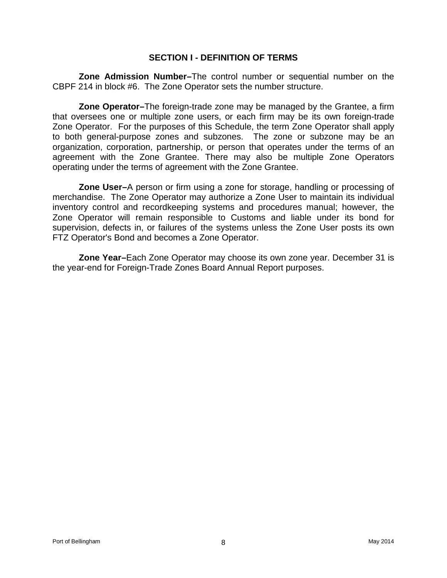**Zone Admission Number–**The control number or sequential number on the CBPF 214 in block #6. The Zone Operator sets the number structure.

**Zone Operator–**The foreign-trade zone may be managed by the Grantee, a firm that oversees one or multiple zone users, or each firm may be its own foreign-trade Zone Operator. For the purposes of this Schedule, the term Zone Operator shall apply to both general-purpose zones and subzones. The zone or subzone may be an organization, corporation, partnership, or person that operates under the terms of an agreement with the Zone Grantee. There may also be multiple Zone Operators operating under the terms of agreement with the Zone Grantee.

**Zone User–**A person or firm using a zone for storage, handling or processing of merchandise. The Zone Operator may authorize a Zone User to maintain its individual inventory control and recordkeeping systems and procedures manual; however, the Zone Operator will remain responsible to Customs and liable under its bond for supervision, defects in, or failures of the systems unless the Zone User posts its own FTZ Operator's Bond and becomes a Zone Operator.

**Zone Year–**Each Zone Operator may choose its own zone year. December 31 is the year-end for Foreign-Trade Zones Board Annual Report purposes.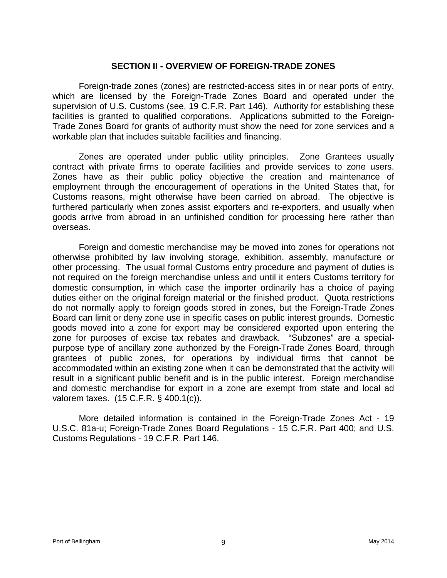## **SECTION II - OVERVIEW OF FOREIGN-TRADE ZONES**

<span id="page-15-0"></span>Foreign-trade zones (zones) are restricted-access sites in or near ports of entry, which are licensed by the Foreign-Trade Zones Board and operated under the supervision of U.S. Customs (see, 19 C.F.R. Part 146). Authority for establishing these facilities is granted to qualified corporations. Applications submitted to the Foreign-Trade Zones Board for grants of authority must show the need for zone services and a workable plan that includes suitable facilities and financing.

Zones are operated under public utility principles. Zone Grantees usually contract with private firms to operate facilities and provide services to zone users. Zones have as their public policy objective the creation and maintenance of employment through the encouragement of operations in the United States that, for Customs reasons, might otherwise have been carried on abroad. The objective is furthered particularly when zones assist exporters and re-exporters, and usually when goods arrive from abroad in an unfinished condition for processing here rather than overseas.

Foreign and domestic merchandise may be moved into zones for operations not otherwise prohibited by law involving storage, exhibition, assembly, manufacture or other processing. The usual formal Customs entry procedure and payment of duties is not required on the foreign merchandise unless and until it enters Customs territory for domestic consumption, in which case the importer ordinarily has a choice of paying duties either on the original foreign material or the finished product. Quota restrictions do not normally apply to foreign goods stored in zones, but the Foreign-Trade Zones Board can limit or deny zone use in specific cases on public interest grounds. Domestic goods moved into a zone for export may be considered exported upon entering the zone for purposes of excise tax rebates and drawback. "Subzones" are a specialpurpose type of ancillary zone authorized by the Foreign-Trade Zones Board, through grantees of public zones, for operations by individual firms that cannot be accommodated within an existing zone when it can be demonstrated that the activity will result in a significant public benefit and is in the public interest. Foreign merchandise and domestic merchandise for export in a zone are exempt from state and local ad valorem taxes. (15 C.F.R. § 400.1(c)).

More detailed information is contained in the Foreign-Trade Zones Act - 19 U.S.C. 81a-u; Foreign-Trade Zones Board Regulations - 15 C.F.R. Part 400; and U.S. Customs Regulations - 19 C.F.R. Part 146.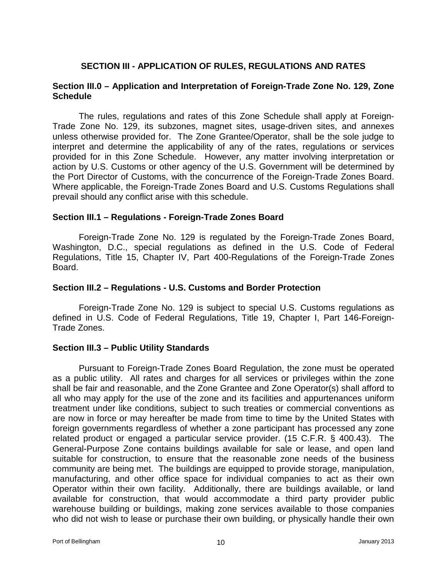## **SECTION III - APPLICATION OF RULES, REGULATIONS AND RATES**

## <span id="page-16-1"></span><span id="page-16-0"></span>**Section III.0 – Application and Interpretation of Foreign-Trade Zone No. 129, Zone Schedule**

The rules, regulations and rates of this Zone Schedule shall apply at Foreign-Trade Zone No. 129, its subzones, magnet sites, usage-driven sites, and annexes unless otherwise provided for. The Zone Grantee/Operator, shall be the sole judge to interpret and determine the applicability of any of the rates, regulations or services provided for in this Zone Schedule. However, any matter involving interpretation or action by U.S. Customs or other agency of the U.S. Government will be determined by the Port Director of Customs, with the concurrence of the Foreign-Trade Zones Board. Where applicable, the Foreign-Trade Zones Board and U.S. Customs Regulations shall prevail should any conflict arise with this schedule.

## <span id="page-16-2"></span>**Section III.1 – Regulations - Foreign-Trade Zones Board**

Foreign-Trade Zone No. 129 is regulated by the Foreign-Trade Zones Board, Washington, D.C., special regulations as defined in the U.S. Code of Federal Regulations, Title 15, Chapter IV, Part 400-Regulations of the Foreign-Trade Zones Board.

## <span id="page-16-3"></span>**Section III.2 – Regulations - U.S. Customs and Border Protection**

Foreign-Trade Zone No. 129 is subject to special U.S. Customs regulations as defined in U.S. Code of Federal Regulations, Title 19, Chapter I, Part 146-Foreign-Trade Zones.

#### **Section III.3 – Public Utility Standards**

Pursuant to Foreign-Trade Zones Board Regulation, the zone must be operated as a public utility. All rates and charges for all services or privileges within the zone shall be fair and reasonable, and the Zone Grantee and Zone Operator(s) shall afford to all who may apply for the use of the zone and its facilities and appurtenances uniform treatment under like conditions, subject to such treaties or commercial conventions as are now in force or may hereafter be made from time to time by the United States with foreign governments regardless of whether a zone participant has processed any zone related product or engaged a particular service provider. (15 C.F.R. § 400.43). The General-Purpose Zone contains buildings available for sale or lease, and open land suitable for construction, to ensure that the reasonable zone needs of the business community are being met. The buildings are equipped to provide storage, manipulation, manufacturing, and other office space for individual companies to act as their own Operator within their own facility. Additionally, there are buildings available, or land available for construction, that would accommodate a third party provider public warehouse building or buildings, making zone services available to those companies who did not wish to lease or purchase their own building, or physically handle their own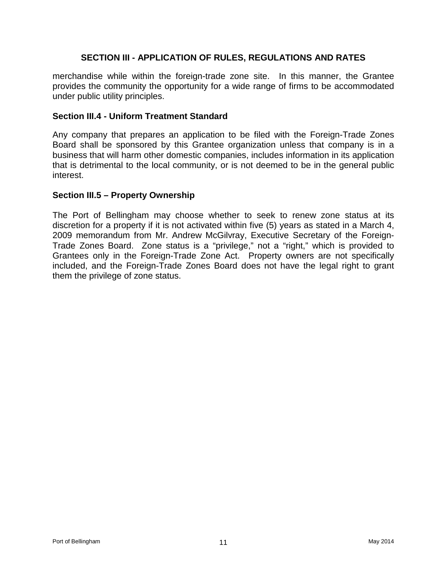## **SECTION III - APPLICATION OF RULES, REGULATIONS AND RATES**

merchandise while within the foreign-trade zone site. In this manner, the Grantee provides the community the opportunity for a wide range of firms to be accommodated under public utility principles.

## <span id="page-17-0"></span>**Section III.4 - Uniform Treatment Standard**

Any company that prepares an application to be filed with the Foreign-Trade Zones Board shall be sponsored by this Grantee organization unless that company is in a business that will harm other domestic companies, includes information in its application that is detrimental to the local community, or is not deemed to be in the general public interest.

## <span id="page-17-1"></span>**Section III.5 – Property Ownership**

The Port of Bellingham may choose whether to seek to renew zone status at its discretion for a property if it is not activated within five (5) years as stated in a March 4, 2009 memorandum from Mr. Andrew McGilvray, Executive Secretary of the Foreign-Trade Zones Board. Zone status is a "privilege," not a "right," which is provided to Grantees only in the Foreign-Trade Zone Act. Property owners are not specifically included, and the Foreign-Trade Zones Board does not have the legal right to grant them the privilege of zone status.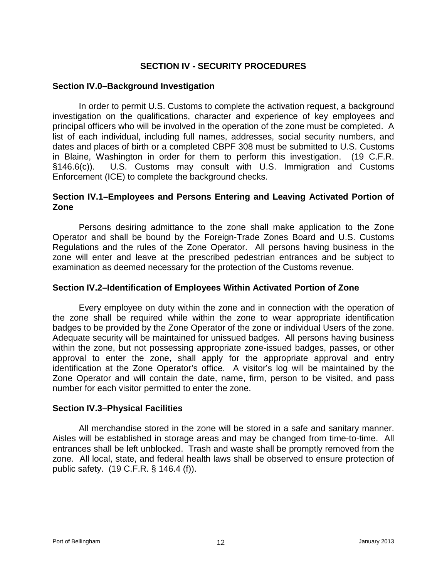## **SECTION IV - SECURITY PROCEDURES**

## <span id="page-18-1"></span><span id="page-18-0"></span>**Section IV.0–Background Investigation**

In order to permit U.S. Customs to complete the activation request, a background investigation on the qualifications, character and experience of key employees and principal officers who will be involved in the operation of the zone must be completed. A list of each individual, including full names, addresses, social security numbers, and dates and places of birth or a completed CBPF 308 must be submitted to U.S. Customs in Blaine, Washington in order for them to perform this investigation. (19 C.F.R. §146.6(c)). U.S. Customs may consult with U.S. Immigration and Customs Enforcement (ICE) to complete the background checks.

## <span id="page-18-2"></span>**Section IV.1–Employees and Persons Entering and Leaving Activated Portion of Zone**

Persons desiring admittance to the zone shall make application to the Zone Operator and shall be bound by the Foreign-Trade Zones Board and U.S. Customs Regulations and the rules of the Zone Operator. All persons having business in the zone will enter and leave at the prescribed pedestrian entrances and be subject to examination as deemed necessary for the protection of the Customs revenue.

## <span id="page-18-3"></span>**Section IV.2–Identification of Employees Within Activated Portion of Zone**

Every employee on duty within the zone and in connection with the operation of the zone shall be required while within the zone to wear appropriate identification badges to be provided by the Zone Operator of the zone or individual Users of the zone. Adequate security will be maintained for unissued badges. All persons having business within the zone, but not possessing appropriate zone-issued badges, passes, or other approval to enter the zone, shall apply for the appropriate approval and entry identification at the Zone Operator's office. A visitor's log will be maintained by the Zone Operator and will contain the date, name, firm, person to be visited, and pass number for each visitor permitted to enter the zone.

## <span id="page-18-4"></span>**Section IV.3–Physical Facilities**

All merchandise stored in the zone will be stored in a safe and sanitary manner. Aisles will be established in storage areas and may be changed from time-to-time. All entrances shall be left unblocked. Trash and waste shall be promptly removed from the zone. All local, state, and federal health laws shall be observed to ensure protection of public safety. (19 C.F.R. § 146.4 (f)).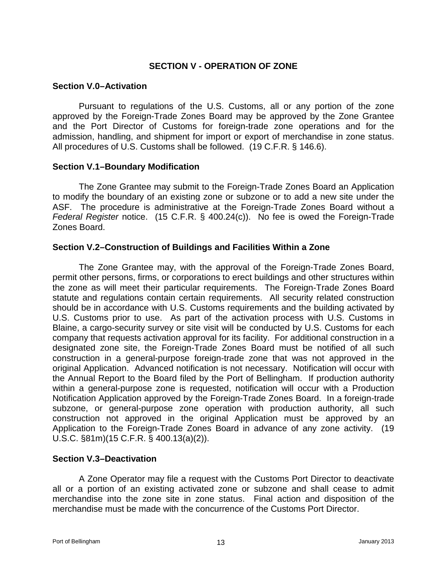## <span id="page-19-1"></span><span id="page-19-0"></span>**Section V.0–Activation**

Pursuant to regulations of the U.S. Customs, all or any portion of the zone approved by the Foreign-Trade Zones Board may be approved by the Zone Grantee and the Port Director of Customs for foreign-trade zone operations and for the admission, handling, and shipment for import or export of merchandise in zone status. All procedures of U.S. Customs shall be followed. (19 C.F.R. § 146.6).

## <span id="page-19-2"></span>**Section V.1–Boundary Modification**

The Zone Grantee may submit to the Foreign-Trade Zones Board an Application to modify the boundary of an existing zone or subzone or to add a new site under the ASF. The procedure is administrative at the Foreign-Trade Zones Board without a *Federal Register* notice. (15 C.F.R. § 400.24(c)). No fee is owed the Foreign-Trade Zones Board.

## <span id="page-19-3"></span>**Section V.2–Construction of Buildings and Facilities Within a Zone**

The Zone Grantee may, with the approval of the Foreign-Trade Zones Board, permit other persons, firms, or corporations to erect buildings and other structures within the zone as will meet their particular requirements. The Foreign-Trade Zones Board statute and regulations contain certain requirements. All security related construction should be in accordance with U.S. Customs requirements and the building activated by U.S. Customs prior to use. As part of the activation process with U.S. Customs in Blaine, a cargo-security survey or site visit will be conducted by U.S. Customs for each company that requests activation approval for its facility. For additional construction in a designated zone site, the Foreign-Trade Zones Board must be notified of all such construction in a general-purpose foreign-trade zone that was not approved in the original Application. Advanced notification is not necessary. Notification will occur with the Annual Report to the Board filed by the Port of Bellingham. If production authority within a general-purpose zone is requested, notification will occur with a Production Notification Application approved by the Foreign-Trade Zones Board. In a foreign-trade subzone, or general-purpose zone operation with production authority, all such construction not approved in the original Application must be approved by an Application to the Foreign-Trade Zones Board in advance of any zone activity. (19 U.S.C. §81m)(15 C.F.R. § 400.13(a)(2)).

## <span id="page-19-4"></span>**Section V.3–Deactivation**

A Zone Operator may file a request with the Customs Port Director to deactivate all or a portion of an existing activated zone or subzone and shall cease to admit merchandise into the zone site in zone status. Final action and disposition of the merchandise must be made with the concurrence of the Customs Port Director.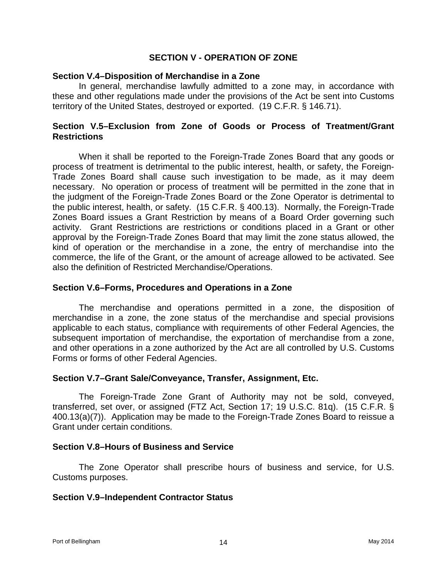#### <span id="page-20-0"></span>**Section V.4–Disposition of Merchandise in a Zone**

In general, merchandise lawfully admitted to a zone may, in accordance with these and other regulations made under the provisions of the Act be sent into Customs territory of the United States, destroyed or exported. (19 C.F.R. § 146.71).

## <span id="page-20-1"></span>**Section V.5–Exclusion from Zone of Goods or Process of Treatment/Grant Restrictions**

When it shall be reported to the Foreign-Trade Zones Board that any goods or process of treatment is detrimental to the public interest, health, or safety, the Foreign-Trade Zones Board shall cause such investigation to be made, as it may deem necessary. No operation or process of treatment will be permitted in the zone that in the judgment of the Foreign-Trade Zones Board or the Zone Operator is detrimental to the public interest, health, or safety. (15 C.F.R. § 400.13). Normally, the Foreign-Trade Zones Board issues a Grant Restriction by means of a Board Order governing such activity. Grant Restrictions are restrictions or conditions placed in a Grant or other approval by the Foreign-Trade Zones Board that may limit the zone status allowed, the kind of operation or the merchandise in a zone, the entry of merchandise into the commerce, the life of the Grant, or the amount of acreage allowed to be activated. See also the definition of Restricted Merchandise/Operations.

#### <span id="page-20-2"></span>**Section V.6–Forms, Procedures and Operations in a Zone**

The merchandise and operations permitted in a zone, the disposition of merchandise in a zone, the zone status of the merchandise and special provisions applicable to each status, compliance with requirements of other Federal Agencies, the subsequent importation of merchandise, the exportation of merchandise from a zone, and other operations in a zone authorized by the Act are all controlled by U.S. Customs Forms or forms of other Federal Agencies.

#### <span id="page-20-3"></span>**Section V.7–Grant Sale/Conveyance, Transfer, Assignment, Etc.**

The Foreign-Trade Zone Grant of Authority may not be sold, conveyed, transferred, set over, or assigned (FTZ Act, Section 17; 19 U.S.C. 81q). (15 C.F.R. § 400.13(a)(7)). Application may be made to the Foreign-Trade Zones Board to reissue a Grant under certain conditions.

#### <span id="page-20-4"></span>**Section V.8–Hours of Business and Service**

The Zone Operator shall prescribe hours of business and service, for U.S. Customs purposes.

#### <span id="page-20-5"></span>**Section V.9–Independent Contractor Status**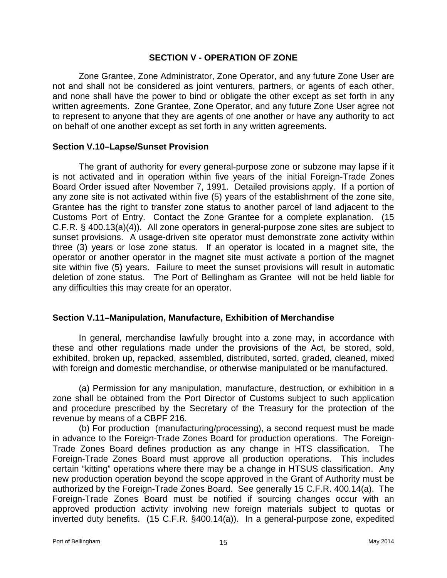Zone Grantee, Zone Administrator, Zone Operator, and any future Zone User are not and shall not be considered as joint venturers, partners, or agents of each other, and none shall have the power to bind or obligate the other except as set forth in any written agreements. Zone Grantee, Zone Operator, and any future Zone User agree not to represent to anyone that they are agents of one another or have any authority to act on behalf of one another except as set forth in any written agreements.

## <span id="page-21-0"></span>**Section V.10–Lapse/Sunset Provision**

The grant of authority for every general-purpose zone or subzone may lapse if it is not activated and in operation within five years of the initial Foreign-Trade Zones Board Order issued after November 7, 1991. Detailed provisions apply. If a portion of any zone site is not activated within five (5) years of the establishment of the zone site, Grantee has the right to transfer zone status to another parcel of land adjacent to the Customs Port of Entry. Contact the Zone Grantee for a complete explanation. (15 C.F.R. § 400.13(a)(4)). All zone operators in general-purpose zone sites are subject to sunset provisions. A usage-driven site operator must demonstrate zone activity within three (3) years or lose zone status. If an operator is located in a magnet site, the operator or another operator in the magnet site must activate a portion of the magnet site within five (5) years. Failure to meet the sunset provisions will result in automatic deletion of zone status. The Port of Bellingham as Grantee will not be held liable for any difficulties this may create for an operator.

## <span id="page-21-1"></span>**Section V.11–Manipulation, Manufacture, Exhibition of Merchandise**

In general, merchandise lawfully brought into a zone may, in accordance with these and other regulations made under the provisions of the Act, be stored, sold, exhibited, broken up, repacked, assembled, distributed, sorted, graded, cleaned, mixed with foreign and domestic merchandise, or otherwise manipulated or be manufactured.

(a) Permission for any manipulation, manufacture, destruction, or exhibition in a zone shall be obtained from the Port Director of Customs subject to such application and procedure prescribed by the Secretary of the Treasury for the protection of the revenue by means of a CBPF 216.

(b) For production (manufacturing/processing), a second request must be made in advance to the Foreign-Trade Zones Board for production operations. The Foreign-Trade Zones Board defines production as any change in HTS classification. The Foreign-Trade Zones Board must approve all production operations. This includes certain "kitting" operations where there may be a change in HTSUS classification. Any new production operation beyond the scope approved in the Grant of Authority must be authorized by the Foreign-Trade Zones Board. See generally 15 C.F.R. 400.14(a). The Foreign-Trade Zones Board must be notified if sourcing changes occur with an approved production activity involving new foreign materials subject to quotas or inverted duty benefits. (15 C.F.R. §400.14(a)). In a general-purpose zone, expedited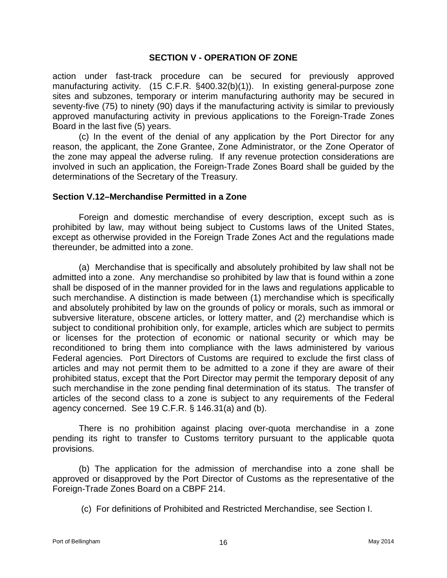action under fast-track procedure can be secured for previously approved manufacturing activity. (15 C.F.R. §400.32(b)(1)). In existing general-purpose zone sites and subzones, temporary or interim manufacturing authority may be secured in seventy-five (75) to ninety (90) days if the manufacturing activity is similar to previously approved manufacturing activity in previous applications to the Foreign-Trade Zones Board in the last five (5) years.

(c) In the event of the denial of any application by the Port Director for any reason, the applicant, the Zone Grantee, Zone Administrator, or the Zone Operator of the zone may appeal the adverse ruling. If any revenue protection considerations are involved in such an application, the Foreign-Trade Zones Board shall be guided by the determinations of the Secretary of the Treasury.

## <span id="page-22-0"></span>**Section V.12–Merchandise Permitted in a Zone**

Foreign and domestic merchandise of every description, except such as is prohibited by law, may without being subject to Customs laws of the United States, except as otherwise provided in the Foreign Trade Zones Act and the regulations made thereunder, be admitted into a zone.

(a) Merchandise that is specifically and absolutely prohibited by law shall not be admitted into a zone. Any merchandise so prohibited by law that is found within a zone shall be disposed of in the manner provided for in the laws and regulations applicable to such merchandise. A distinction is made between (1) merchandise which is specifically and absolutely prohibited by law on the grounds of policy or morals, such as immoral or subversive literature, obscene articles, or lottery matter, and (2) merchandise which is subject to conditional prohibition only, for example, articles which are subject to permits or licenses for the protection of economic or national security or which may be reconditioned to bring them into compliance with the laws administered by various Federal agencies. Port Directors of Customs are required to exclude the first class of articles and may not permit them to be admitted to a zone if they are aware of their prohibited status, except that the Port Director may permit the temporary deposit of any such merchandise in the zone pending final determination of its status. The transfer of articles of the second class to a zone is subject to any requirements of the Federal agency concerned. See 19 C.F.R. § 146.31(a) and (b).

There is no prohibition against placing over-quota merchandise in a zone pending its right to transfer to Customs territory pursuant to the applicable quota provisions.

(b) The application for the admission of merchandise into a zone shall be approved or disapproved by the Port Director of Customs as the representative of the Foreign-Trade Zones Board on a CBPF 214.

(c) For definitions of Prohibited and Restricted Merchandise, see Section I.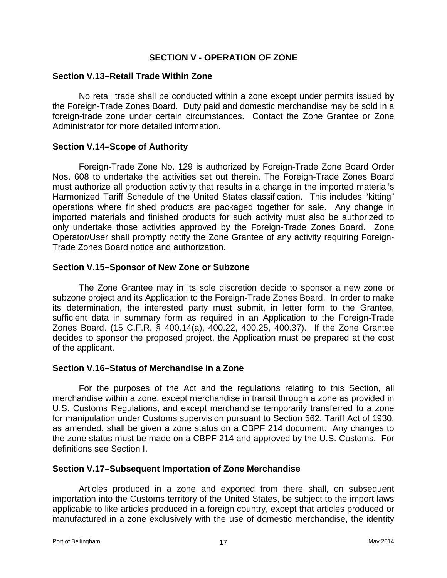#### <span id="page-23-0"></span>**Section V.13–Retail Trade Within Zone**

No retail trade shall be conducted within a zone except under permits issued by the Foreign-Trade Zones Board. Duty paid and domestic merchandise may be sold in a foreign-trade zone under certain circumstances. Contact the Zone Grantee or Zone Administrator for more detailed information.

#### <span id="page-23-1"></span>**Section V.14–Scope of Authority**

Foreign-Trade Zone No. 129 is authorized by Foreign-Trade Zone Board Order Nos. 608 to undertake the activities set out therein. The Foreign-Trade Zones Board must authorize all production activity that results in a change in the imported material's Harmonized Tariff Schedule of the United States classification. This includes "kitting" operations where finished products are packaged together for sale. Any change in imported materials and finished products for such activity must also be authorized to only undertake those activities approved by the Foreign-Trade Zones Board. Zone Operator/User shall promptly notify the Zone Grantee of any activity requiring Foreign-Trade Zones Board notice and authorization.

## <span id="page-23-2"></span>**Section V.15–Sponsor of New Zone or Subzone**

The Zone Grantee may in its sole discretion decide to sponsor a new zone or subzone project and its Application to the Foreign-Trade Zones Board. In order to make its determination, the interested party must submit, in letter form to the Grantee, sufficient data in summary form as required in an Application to the Foreign-Trade Zones Board. (15 C.F.R. § 400.14(a), 400.22, 400.25, 400.37). If the Zone Grantee decides to sponsor the proposed project, the Application must be prepared at the cost of the applicant.

## <span id="page-23-3"></span>**Section V.16–Status of Merchandise in a Zone**

For the purposes of the Act and the regulations relating to this Section, all merchandise within a zone, except merchandise in transit through a zone as provided in U.S. Customs Regulations, and except merchandise temporarily transferred to a zone for manipulation under Customs supervision pursuant to Section 562, Tariff Act of 1930, as amended, shall be given a zone status on a CBPF 214 document. Any changes to the zone status must be made on a CBPF 214 and approved by the U.S. Customs. For definitions see Section I.

## <span id="page-23-4"></span>**Section V.17–Subsequent Importation of Zone Merchandise**

Articles produced in a zone and exported from there shall, on subsequent importation into the Customs territory of the United States, be subject to the import laws applicable to like articles produced in a foreign country, except that articles produced or manufactured in a zone exclusively with the use of domestic merchandise, the identity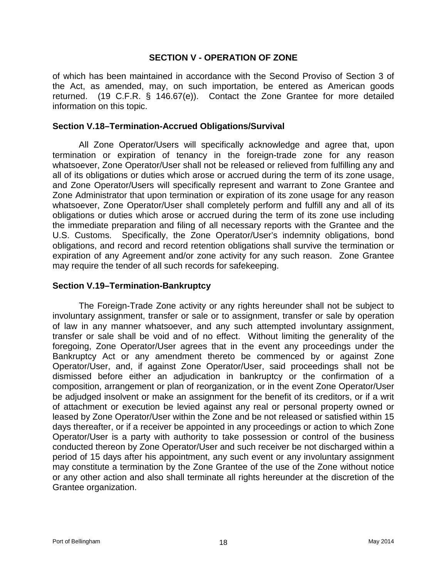of which has been maintained in accordance with the Second Proviso of Section 3 of the Act, as amended, may, on such importation, be entered as American goods returned. (19 C.F.R. § 146.67(e)). Contact the Zone Grantee for more detailed information on this topic.

#### <span id="page-24-0"></span>**Section V.18–Termination-Accrued Obligations/Survival**

All Zone Operator/Users will specifically acknowledge and agree that, upon termination or expiration of tenancy in the foreign-trade zone for any reason whatsoever, Zone Operator/User shall not be released or relieved from fulfilling any and all of its obligations or duties which arose or accrued during the term of its zone usage, and Zone Operator/Users will specifically represent and warrant to Zone Grantee and Zone Administrator that upon termination or expiration of its zone usage for any reason whatsoever, Zone Operator/User shall completely perform and fulfill any and all of its obligations or duties which arose or accrued during the term of its zone use including the immediate preparation and filing of all necessary reports with the Grantee and the U.S. Customs. Specifically, the Zone Operator/User's indemnity obligations, bond obligations, and record and record retention obligations shall survive the termination or expiration of any Agreement and/or zone activity for any such reason. Zone Grantee may require the tender of all such records for safekeeping.

## <span id="page-24-1"></span>**Section V.19–Termination-Bankruptcy**

The Foreign-Trade Zone activity or any rights hereunder shall not be subject to involuntary assignment, transfer or sale or to assignment, transfer or sale by operation of law in any manner whatsoever, and any such attempted involuntary assignment, transfer or sale shall be void and of no effect. Without limiting the generality of the foregoing, Zone Operator/User agrees that in the event any proceedings under the Bankruptcy Act or any amendment thereto be commenced by or against Zone Operator/User, and, if against Zone Operator/User, said proceedings shall not be dismissed before either an adjudication in bankruptcy or the confirmation of a composition, arrangement or plan of reorganization, or in the event Zone Operator/User be adjudged insolvent or make an assignment for the benefit of its creditors, or if a writ of attachment or execution be levied against any real or personal property owned or leased by Zone Operator/User within the Zone and be not released or satisfied within 15 days thereafter, or if a receiver be appointed in any proceedings or action to which Zone Operator/User is a party with authority to take possession or control of the business conducted thereon by Zone Operator/User and such receiver be not discharged within a period of 15 days after his appointment, any such event or any involuntary assignment may constitute a termination by the Zone Grantee of the use of the Zone without notice or any other action and also shall terminate all rights hereunder at the discretion of the Grantee organization.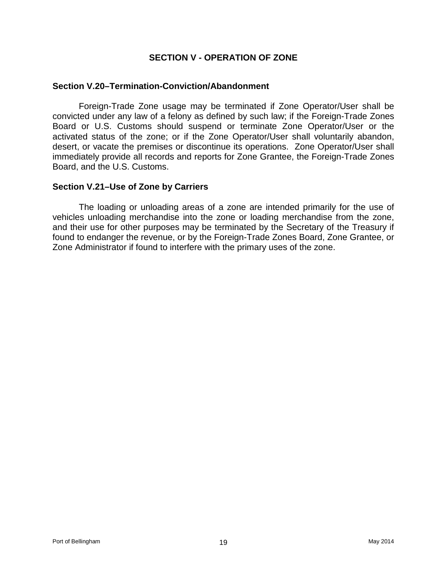#### <span id="page-25-0"></span>**Section V.20–Termination-Conviction/Abandonment**

Foreign-Trade Zone usage may be terminated if Zone Operator/User shall be convicted under any law of a felony as defined by such law; if the Foreign-Trade Zones Board or U.S. Customs should suspend or terminate Zone Operator/User or the activated status of the zone; or if the Zone Operator/User shall voluntarily abandon, desert, or vacate the premises or discontinue its operations. Zone Operator/User shall immediately provide all records and reports for Zone Grantee, the Foreign-Trade Zones Board, and the U.S. Customs.

#### <span id="page-25-1"></span>**Section V.21–Use of Zone by Carriers**

The loading or unloading areas of a zone are intended primarily for the use of vehicles unloading merchandise into the zone or loading merchandise from the zone, and their use for other purposes may be terminated by the Secretary of the Treasury if found to endanger the revenue, or by the Foreign-Trade Zones Board, Zone Grantee, or Zone Administrator if found to interfere with the primary uses of the zone.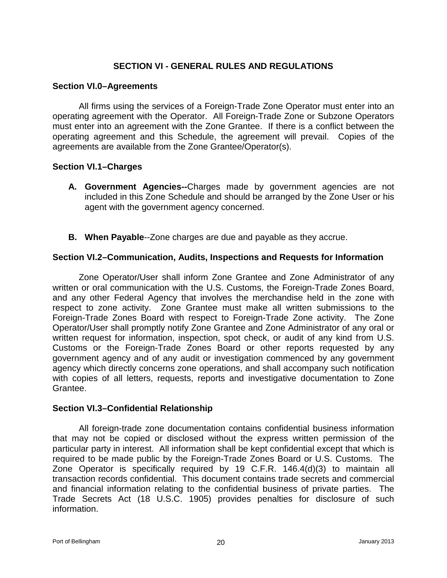## **SECTION VI - GENERAL RULES AND REGULATIONS**

## <span id="page-26-1"></span><span id="page-26-0"></span>**Section VI.0–Agreements**

All firms using the services of a Foreign-Trade Zone Operator must enter into an operating agreement with the Operator. All Foreign-Trade Zone or Subzone Operators must enter into an agreement with the Zone Grantee. If there is a conflict between the operating agreement and this Schedule, the agreement will prevail. Copies of the agreements are available from the Zone Grantee/Operator(s).

## <span id="page-26-2"></span>**Section VI.1–Charges**

- **A. Government Agencies--**Charges made by government agencies are not included in this Zone Schedule and should be arranged by the Zone User or his agent with the government agency concerned.
- **B. When Payable**--Zone charges are due and payable as they accrue.

## <span id="page-26-3"></span>**Section VI.2–Communication, Audits, Inspections and Requests for Information**

Zone Operator/User shall inform Zone Grantee and Zone Administrator of any written or oral communication with the U.S. Customs, the Foreign-Trade Zones Board, and any other Federal Agency that involves the merchandise held in the zone with respect to zone activity. Zone Grantee must make all written submissions to the Foreign-Trade Zones Board with respect to Foreign-Trade Zone activity. The Zone Operator/User shall promptly notify Zone Grantee and Zone Administrator of any oral or written request for information, inspection, spot check, or audit of any kind from U.S. Customs or the Foreign-Trade Zones Board or other reports requested by any government agency and of any audit or investigation commenced by any government agency which directly concerns zone operations, and shall accompany such notification with copies of all letters, requests, reports and investigative documentation to Zone Grantee.

#### <span id="page-26-4"></span>**Section VI.3–Confidential Relationship**

All foreign-trade zone documentation contains confidential business information that may not be copied or disclosed without the express written permission of the particular party in interest. All information shall be kept confidential except that which is required to be made public by the Foreign-Trade Zones Board or U.S. Customs. The Zone Operator is specifically required by 19 C.F.R. 146.4(d)(3) to maintain all transaction records confidential. This document contains trade secrets and commercial and financial information relating to the confidential business of private parties. The Trade Secrets Act (18 U.S.C. 1905) provides penalties for disclosure of such information.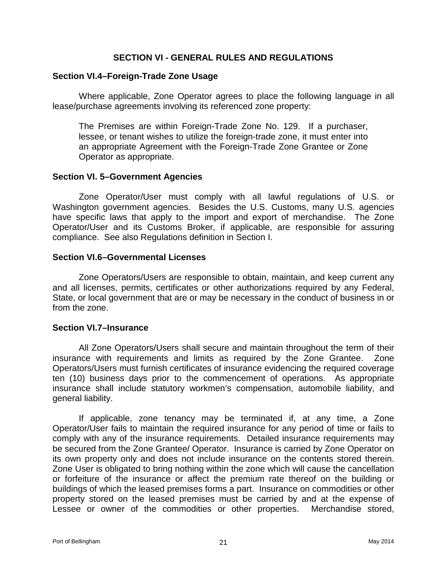## **SECTION VI - GENERAL RULES AND REGULATIONS**

## <span id="page-27-0"></span>**Section VI.4–Foreign-Trade Zone Usage**

Where applicable, Zone Operator agrees to place the following language in all lease/purchase agreements involving its referenced zone property:

The Premises are within Foreign-Trade Zone No. 129. If a purchaser, lessee, or tenant wishes to utilize the foreign-trade zone, it must enter into an appropriate Agreement with the Foreign-Trade Zone Grantee or Zone Operator as appropriate.

## <span id="page-27-1"></span>**Section VI. 5–Government Agencies**

Zone Operator/User must comply with all lawful regulations of U.S. or Washington government agencies. Besides the U.S. Customs, many U.S. agencies have specific laws that apply to the import and export of merchandise. The Zone Operator/User and its Customs Broker, if applicable, are responsible for assuring compliance. See also Regulations definition in Section I.

## **Section VI.6–Governmental Licenses**

Zone Operators/Users are responsible to obtain, maintain, and keep current any and all licenses, permits, certificates or other authorizations required by any Federal, State, or local government that are or may be necessary in the conduct of business in or from the zone.

#### <span id="page-27-2"></span>**Section VI.7–Insurance**

All Zone Operators/Users shall secure and maintain throughout the term of their insurance with requirements and limits as required by the Zone Grantee. Zone Operators/Users must furnish certificates of insurance evidencing the required coverage ten (10) business days prior to the commencement of operations. As appropriate insurance shall include statutory workmen's compensation, automobile liability, and general liability.

If applicable, zone tenancy may be terminated if, at any time, a Zone Operator/User fails to maintain the required insurance for any period of time or fails to comply with any of the insurance requirements. Detailed insurance requirements may be secured from the Zone Grantee/ Operator. Insurance is carried by Zone Operator on its own property only and does not include insurance on the contents stored therein. Zone User is obligated to bring nothing within the zone which will cause the cancellation or forfeiture of the insurance or affect the premium rate thereof on the building or buildings of which the leased premises forms a part. Insurance on commodities or other property stored on the leased premises must be carried by and at the expense of Lessee or owner of the commodities or other properties. Merchandise stored,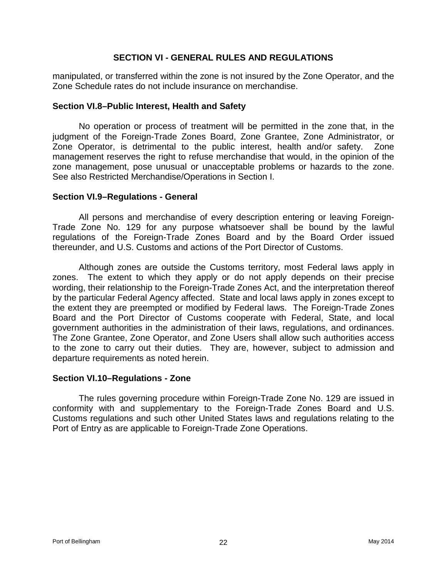## **SECTION VI - GENERAL RULES AND REGULATIONS**

manipulated, or transferred within the zone is not insured by the Zone Operator, and the Zone Schedule rates do not include insurance on merchandise.

#### **Section VI.8–Public Interest, Health and Safety**

No operation or process of treatment will be permitted in the zone that, in the judgment of the Foreign-Trade Zones Board, Zone Grantee, Zone Administrator, or Zone Operator, is detrimental to the public interest, health and/or safety. Zone management reserves the right to refuse merchandise that would, in the opinion of the zone management, pose unusual or unacceptable problems or hazards to the zone. See also Restricted Merchandise/Operations in Section I.

#### <span id="page-28-0"></span>**Section VI.9–Regulations - General**

All persons and merchandise of every description entering or leaving Foreign-Trade Zone No. 129 for any purpose whatsoever shall be bound by the lawful regulations of the Foreign-Trade Zones Board and by the Board Order issued thereunder, and U.S. Customs and actions of the Port Director of Customs.

Although zones are outside the Customs territory, most Federal laws apply in zones. The extent to which they apply or do not apply depends on their precise wording, their relationship to the Foreign-Trade Zones Act, and the interpretation thereof by the particular Federal Agency affected. State and local laws apply in zones except to the extent they are preempted or modified by Federal laws. The Foreign-Trade Zones Board and the Port Director of Customs cooperate with Federal, State, and local government authorities in the administration of their laws, regulations, and ordinances. The Zone Grantee, Zone Operator, and Zone Users shall allow such authorities access to the zone to carry out their duties. They are, however, subject to admission and departure requirements as noted herein.

#### <span id="page-28-1"></span>**Section VI.10–Regulations - Zone**

The rules governing procedure within Foreign-Trade Zone No. 129 are issued in conformity with and supplementary to the Foreign-Trade Zones Board and U.S. Customs regulations and such other United States laws and regulations relating to the Port of Entry as are applicable to Foreign-Trade Zone Operations.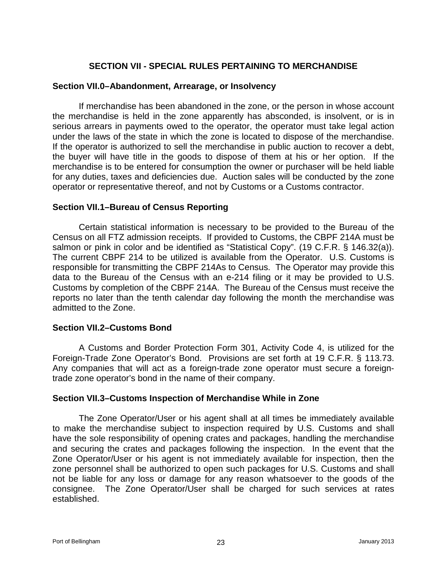## **SECTION VII - SPECIAL RULES PERTAINING TO MERCHANDISE**

#### <span id="page-29-1"></span><span id="page-29-0"></span>**Section VII.0–Abandonment, Arrearage, or Insolvency**

If merchandise has been abandoned in the zone, or the person in whose account the merchandise is held in the zone apparently has absconded, is insolvent, or is in serious arrears in payments owed to the operator, the operator must take legal action under the laws of the state in which the zone is located to dispose of the merchandise. If the operator is authorized to sell the merchandise in public auction to recover a debt, the buyer will have title in the goods to dispose of them at his or her option. If the merchandise is to be entered for consumption the owner or purchaser will be held liable for any duties, taxes and deficiencies due. Auction sales will be conducted by the zone operator or representative thereof, and not by Customs or a Customs contractor.

#### <span id="page-29-2"></span>**Section VII.1–Bureau of Census Reporting**

Certain statistical information is necessary to be provided to the Bureau of the Census on all FTZ admission receipts. If provided to Customs, the CBPF 214A must be salmon or pink in color and be identified as "Statistical Copy". (19 C.F.R. § 146.32(a)). The current CBPF 214 to be utilized is available from the Operator. U.S. Customs is responsible for transmitting the CBPF 214As to Census. The Operator may provide this data to the Bureau of the Census with an e-214 filing or it may be provided to U.S. Customs by completion of the CBPF 214A. The Bureau of the Census must receive the reports no later than the tenth calendar day following the month the merchandise was admitted to the Zone.

#### <span id="page-29-3"></span>**Section VII.2–Customs Bond**

A Customs and Border Protection Form 301, Activity Code 4, is utilized for the Foreign-Trade Zone Operator's Bond. Provisions are set forth at 19 C.F.R. § 113.73. Any companies that will act as a foreign-trade zone operator must secure a foreigntrade zone operator's bond in the name of their company.

#### <span id="page-29-4"></span>**Section VII.3–Customs Inspection of Merchandise While in Zone**

The Zone Operator/User or his agent shall at all times be immediately available to make the merchandise subject to inspection required by U.S. Customs and shall have the sole responsibility of opening crates and packages, handling the merchandise and securing the crates and packages following the inspection. In the event that the Zone Operator/User or his agent is not immediately available for inspection, then the zone personnel shall be authorized to open such packages for U.S. Customs and shall not be liable for any loss or damage for any reason whatsoever to the goods of the consignee. The Zone Operator/User shall be charged for such services at rates established.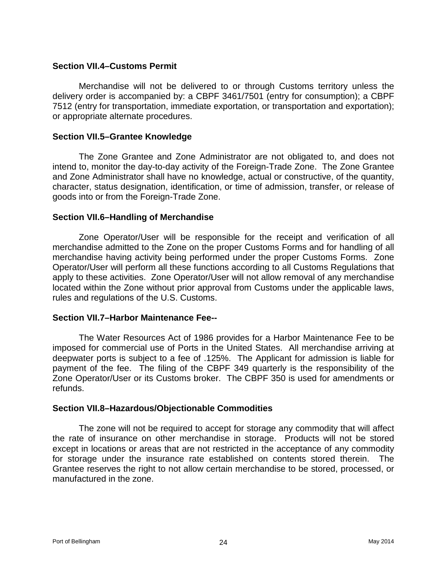## <span id="page-30-0"></span>**Section VII.4–Customs Permit**

Merchandise will not be delivered to or through Customs territory unless the delivery order is accompanied by: a CBPF 3461/7501 (entry for consumption); a CBPF 7512 (entry for transportation, immediate exportation, or transportation and exportation); or appropriate alternate procedures.

## <span id="page-30-1"></span>**Section VII.5–Grantee Knowledge**

The Zone Grantee and Zone Administrator are not obligated to, and does not intend to, monitor the day-to-day activity of the Foreign-Trade Zone. The Zone Grantee and Zone Administrator shall have no knowledge, actual or constructive, of the quantity, character, status designation, identification, or time of admission, transfer, or release of goods into or from the Foreign-Trade Zone.

## <span id="page-30-2"></span>**Section VII.6–Handling of Merchandise**

Zone Operator/User will be responsible for the receipt and verification of all merchandise admitted to the Zone on the proper Customs Forms and for handling of all merchandise having activity being performed under the proper Customs Forms. Zone Operator/User will perform all these functions according to all Customs Regulations that apply to these activities. Zone Operator/User will not allow removal of any merchandise located within the Zone without prior approval from Customs under the applicable laws, rules and regulations of the U.S. Customs.

#### <span id="page-30-3"></span>**Section VII.7–Harbor Maintenance Fee--**

The Water Resources Act of 1986 provides for a Harbor Maintenance Fee to be imposed for commercial use of Ports in the United States. All merchandise arriving at deepwater ports is subject to a fee of .125%. The Applicant for admission is liable for payment of the fee. The filing of the CBPF 349 quarterly is the responsibility of the Zone Operator/User or its Customs broker. The CBPF 350 is used for amendments or refunds.

#### <span id="page-30-4"></span>**Section VII.8–Hazardous/Objectionable Commodities**

The zone will not be required to accept for storage any commodity that will affect the rate of insurance on other merchandise in storage. Products will not be stored except in locations or areas that are not restricted in the acceptance of any commodity for storage under the insurance rate established on contents stored therein. The Grantee reserves the right to not allow certain merchandise to be stored, processed, or manufactured in the zone.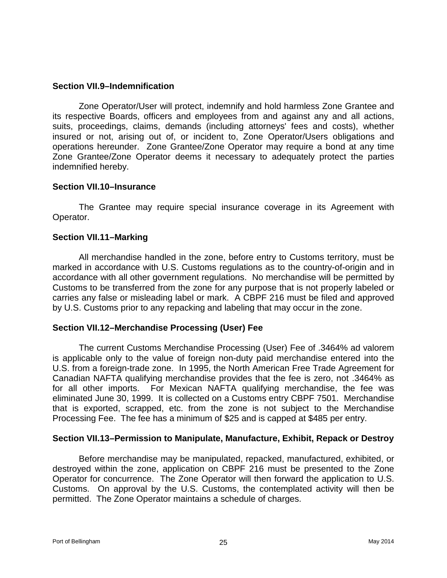## <span id="page-31-0"></span>**Section VII.9–Indemnification**

Zone Operator/User will protect, indemnify and hold harmless Zone Grantee and its respective Boards, officers and employees from and against any and all actions, suits, proceedings, claims, demands (including attorneys' fees and costs), whether insured or not, arising out of, or incident to, Zone Operator/Users obligations and operations hereunder. Zone Grantee/Zone Operator may require a bond at any time Zone Grantee/Zone Operator deems it necessary to adequately protect the parties indemnified hereby.

## <span id="page-31-1"></span>**Section VII.10–Insurance**

The Grantee may require special insurance coverage in its Agreement with Operator.

## <span id="page-31-2"></span>**Section VII.11–Marking**

All merchandise handled in the zone, before entry to Customs territory, must be marked in accordance with U.S. Customs regulations as to the country-of-origin and in accordance with all other government regulations. No merchandise will be permitted by Customs to be transferred from the zone for any purpose that is not properly labeled or carries any false or misleading label or mark. A CBPF 216 must be filed and approved by U.S. Customs prior to any repacking and labeling that may occur in the zone.

## <span id="page-31-3"></span>**Section VII.12–Merchandise Processing (User) Fee**

The current Customs Merchandise Processing (User) Fee of .3464% ad valorem is applicable only to the value of foreign non-duty paid merchandise entered into the U.S. from a foreign-trade zone. In 1995, the North American Free Trade Agreement for Canadian NAFTA qualifying merchandise provides that the fee is zero, not .3464% as for all other imports. For Mexican NAFTA qualifying merchandise, the fee was eliminated June 30, 1999. It is collected on a Customs entry CBPF 7501. Merchandise that is exported, scrapped, etc. from the zone is not subject to the Merchandise Processing Fee. The fee has a minimum of \$25 and is capped at \$485 per entry.

## <span id="page-31-4"></span>**Section VII.13–Permission to Manipulate, Manufacture, Exhibit, Repack or Destroy**

Before merchandise may be manipulated, repacked, manufactured, exhibited, or destroyed within the zone, application on CBPF 216 must be presented to the Zone Operator for concurrence. The Zone Operator will then forward the application to U.S. Customs. On approval by the U.S. Customs, the contemplated activity will then be permitted. The Zone Operator maintains a schedule of charges.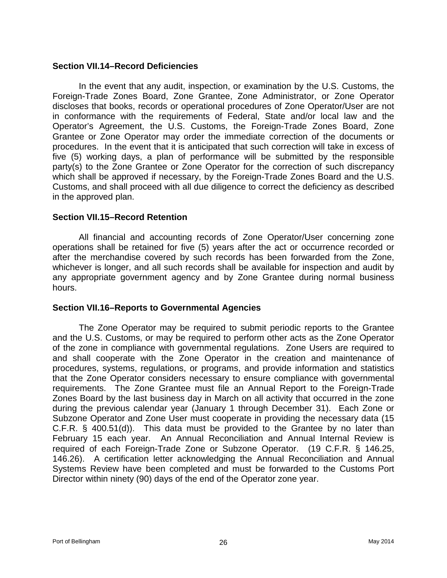## <span id="page-32-0"></span>**Section VII.14–Record Deficiencies**

In the event that any audit, inspection, or examination by the U.S. Customs, the Foreign-Trade Zones Board, Zone Grantee, Zone Administrator, or Zone Operator discloses that books, records or operational procedures of Zone Operator/User are not in conformance with the requirements of Federal, State and/or local law and the Operator's Agreement, the U.S. Customs, the Foreign-Trade Zones Board, Zone Grantee or Zone Operator may order the immediate correction of the documents or procedures. In the event that it is anticipated that such correction will take in excess of five (5) working days, a plan of performance will be submitted by the responsible party(s) to the Zone Grantee or Zone Operator for the correction of such discrepancy which shall be approved if necessary, by the Foreign-Trade Zones Board and the U.S. Customs, and shall proceed with all due diligence to correct the deficiency as described in the approved plan.

## <span id="page-32-1"></span>**Section VII.15–Record Retention**

All financial and accounting records of Zone Operator/User concerning zone operations shall be retained for five (5) years after the act or occurrence recorded or after the merchandise covered by such records has been forwarded from the Zone, whichever is longer, and all such records shall be available for inspection and audit by any appropriate government agency and by Zone Grantee during normal business hours.

#### <span id="page-32-2"></span>**Section VII.16–Reports to Governmental Agencies**

The Zone Operator may be required to submit periodic reports to the Grantee and the U.S. Customs, or may be required to perform other acts as the Zone Operator of the zone in compliance with governmental regulations. Zone Users are required to and shall cooperate with the Zone Operator in the creation and maintenance of procedures, systems, regulations, or programs, and provide information and statistics that the Zone Operator considers necessary to ensure compliance with governmental requirements. The Zone Grantee must file an Annual Report to the Foreign-Trade Zones Board by the last business day in March on all activity that occurred in the zone during the previous calendar year (January 1 through December 31). Each Zone or Subzone Operator and Zone User must cooperate in providing the necessary data (15 C.F.R. § 400.51(d)). This data must be provided to the Grantee by no later than February 15 each year. An Annual Reconciliation and Annual Internal Review is required of each Foreign-Trade Zone or Subzone Operator. (19 C.F.R. § 146.25, 146.26). A certification letter acknowledging the Annual Reconciliation and Annual Systems Review have been completed and must be forwarded to the Customs Port Director within ninety (90) days of the end of the Operator zone year.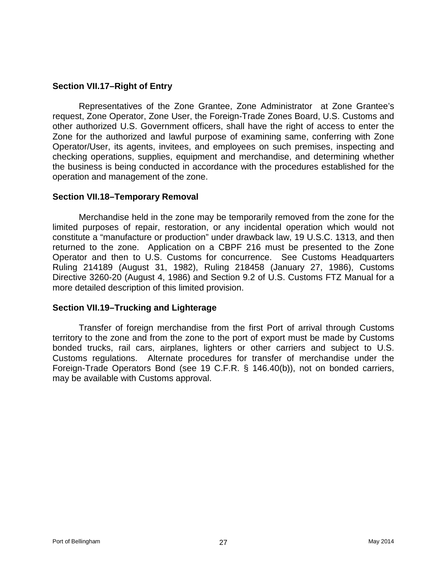## <span id="page-33-0"></span>**Section VII.17–Right of Entry**

Representatives of the Zone Grantee, Zone Administrator at Zone Grantee's request, Zone Operator, Zone User, the Foreign-Trade Zones Board, U.S. Customs and other authorized U.S. Government officers, shall have the right of access to enter the Zone for the authorized and lawful purpose of examining same, conferring with Zone Operator/User, its agents, invitees, and employees on such premises, inspecting and checking operations, supplies, equipment and merchandise, and determining whether the business is being conducted in accordance with the procedures established for the operation and management of the zone.

## <span id="page-33-1"></span>**Section VII.18–Temporary Removal**

Merchandise held in the zone may be temporarily removed from the zone for the limited purposes of repair, restoration, or any incidental operation which would not constitute a "manufacture or production" under drawback law, 19 U.S.C. 1313, and then returned to the zone. Application on a CBPF 216 must be presented to the Zone Operator and then to U.S. Customs for concurrence. See Customs Headquarters Ruling 214189 (August 31, 1982), Ruling 218458 (January 27, 1986), Customs Directive 3260-20 (August 4, 1986) and Section 9.2 of U.S. Customs FTZ Manual for a more detailed description of this limited provision.

## <span id="page-33-2"></span>**Section VII.19–Trucking and Lighterage**

Transfer of foreign merchandise from the first Port of arrival through Customs territory to the zone and from the zone to the port of export must be made by Customs bonded trucks, rail cars, airplanes, lighters or other carriers and subject to U.S. Customs regulations. Alternate procedures for transfer of merchandise under the Foreign-Trade Operators Bond (see 19 C.F.R. § 146.40(b)), not on bonded carriers, may be available with Customs approval.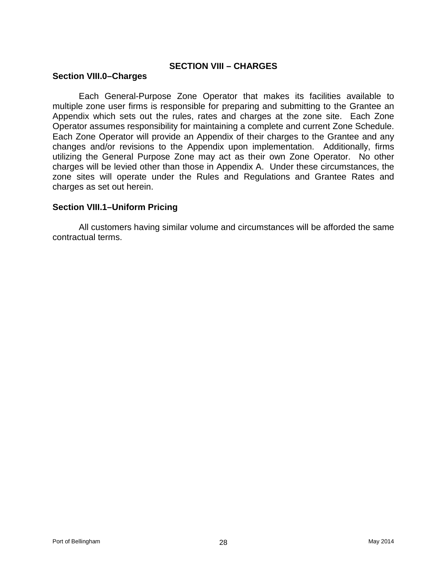#### **SECTION VIII – CHARGES**

#### <span id="page-34-1"></span><span id="page-34-0"></span>**Section VIII.0–Charges**

Each General-Purpose Zone Operator that makes its facilities available to multiple zone user firms is responsible for preparing and submitting to the Grantee an Appendix which sets out the rules, rates and charges at the zone site. Each Zone Operator assumes responsibility for maintaining a complete and current Zone Schedule. Each Zone Operator will provide an Appendix of their charges to the Grantee and any changes and/or revisions to the Appendix upon implementation. Additionally, firms utilizing the General Purpose Zone may act as their own Zone Operator. No other charges will be levied other than those in Appendix A. Under these circumstances, the zone sites will operate under the Rules and Regulations and Grantee Rates and charges as set out herein.

## <span id="page-34-2"></span>**Section VIII.1–Uniform Pricing**

All customers having similar volume and circumstances will be afforded the same contractual terms.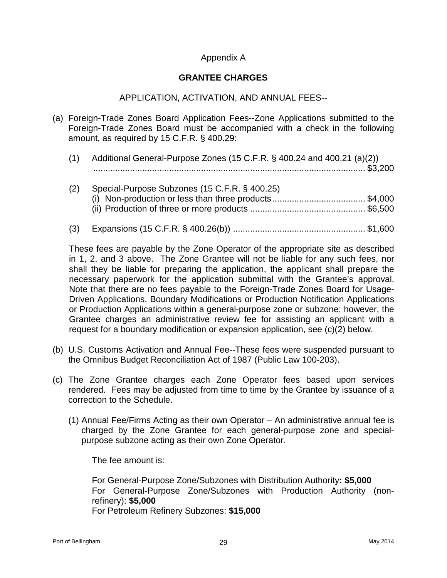## Appendix A

## **GRANTEE CHARGES**

## APPLICATION, ACTIVATION, AND ANNUAL FEES--

(a) Foreign-Trade Zones Board Application Fees--Zone Applications submitted to the Foreign-Trade Zones Board must be accompanied with a check in the following amount, as required by 15 C.F.R. § 400.29:

| (1) | Additional General-Purpose Zones (15 C.F.R. § 400.24 and 400.21 (a)(2)) |  |
|-----|-------------------------------------------------------------------------|--|
| (2) | Special-Purpose Subzones (15 C.F.R. § 400.25)                           |  |
|     |                                                                         |  |

(3) Expansions (15 C.F.R. § 400.26(b)) ...................................................... \$1,600

These fees are payable by the Zone Operator of the appropriate site as described in 1, 2, and 3 above. The Zone Grantee will not be liable for any such fees, nor shall they be liable for preparing the application, the applicant shall prepare the necessary paperwork for the application submittal with the Grantee's approval. Note that there are no fees payable to the Foreign-Trade Zones Board for Usage-Driven Applications, Boundary Modifications or Production Notification Applications or Production Applications within a general-purpose zone or subzone; however, the Grantee charges an administrative review fee for assisting an applicant with a request for a boundary modification or expansion application, see (c)(2) below.

- (b) U.S. Customs Activation and Annual Fee--These fees were suspended pursuant to the Omnibus Budget Reconciliation Act of 1987 (Public Law 100-203).
- (c) The Zone Grantee charges each Zone Operator fees based upon services rendered. Fees may be adjusted from time to time by the Grantee by issuance of a correction to the Schedule.
	- (1) Annual Fee/Firms Acting as their own Operator An administrative annual fee is charged by the Zone Grantee for each general-purpose zone and specialpurpose subzone acting as their own Zone Operator.

The fee amount is:

For General-Purpose Zone/Subzones with Distribution Authority**: \$5,000** For General-Purpose Zone/Subzones with Production Authority (nonrefinery): **\$5,000** For Petroleum Refinery Subzones: **\$15,000**